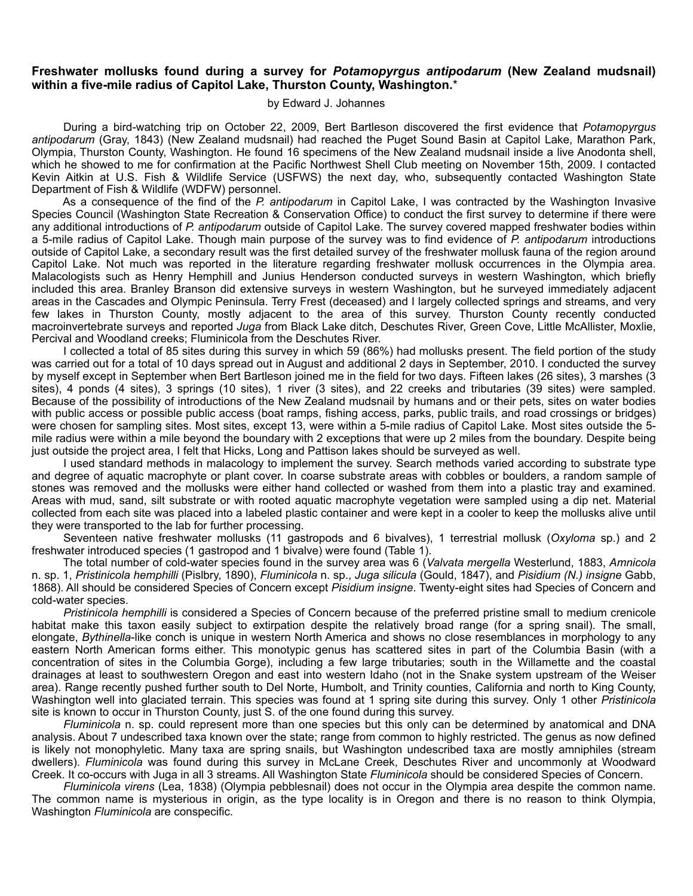# **Freshwater mollusks found during a survey for** *Potamopyrgus antipodarum* **(New Zealand mudsnail) within a five-mile radius of Capitol Lake, Thurston County, Washington.**\*

# by Edward J. Johannes

 During a bird-watching trip on October 22, 2009, Bert Bartleson discovered the first evidence that *Potamopyrgus antipodarum* (Gray, 1843) (New Zealand mudsnail) had reached the Puget Sound Basin at Capitol Lake, Marathon Park, Olympia, Thurston County, Washington. He found 16 specimens of the New Zealand mudsnail inside a live Anodonta shell, which he showed to me for confirmation at the Pacific Northwest Shell Club meeting on November 15th, 2009. I contacted Kevin Aitkin at U.S. Fish & Wildlife Service (USFWS) the next day, who, subsequently contacted Washington State Department of Fish & Wildlife (WDFW) personnel.

 As a consequence of the find of the *P. antipodarum* in Capitol Lake, I was contracted by the Washington Invasive Species Council (Washington State Recreation & Conservation Office) to conduct the first survey to determine if there were any additional introductions of *P. antipodarum* outside of Capitol Lake. The survey covered mapped freshwater bodies within a 5-mile radius of Capitol Lake. Though main purpose of the survey was to find evidence of *P. antipodarum* introductions outside of Capitol Lake, a secondary result was the first detailed survey of the freshwater mollusk fauna of the region around Capitol Lake. Not much was reported in the literature regarding freshwater mollusk occurrences in the Olympia area. Malacologists such as Henry Hemphill and Junius Henderson conducted surveys in western Washington, which briefly included this area. Branley Branson did extensive surveys in western Washington, but he surveyed immediately adjacent areas in the Cascades and Olympic Peninsula. Terry Frest (deceased) and I largely collected springs and streams, and very few lakes in Thurston County, mostly adjacent to the area of this survey. Thurston County recently conducted macroinvertebrate surveys and reported *Juga* from Black Lake ditch, Deschutes River, Green Cove, Little McAllister, Moxlie, Percival and Woodland creeks; Fluminicola from the Deschutes River.

 I collected a total of 85 sites during this survey in which 59 (86%) had mollusks present. The field portion of the study was carried out for a total of 10 days spread out in August and additional 2 days in September, 2010. I conducted the survey by myself except in September when Bert Bartleson joined me in the field for two days. Fifteen lakes (26 sites), 3 marshes (3 sites), 4 ponds (4 sites), 3 springs (10 sites), 1 river (3 sites), and 22 creeks and tributaries (39 sites) were sampled. Because of the possibility of introductions of the New Zealand mudsnail by humans and or their pets, sites on water bodies with public access or possible public access (boat ramps, fishing access, parks, public trails, and road crossings or bridges) were chosen for sampling sites. Most sites, except 13, were within a 5-mile radius of Capitol Lake. Most sites outside the 5 mile radius were within a mile beyond the boundary with 2 exceptions that were up 2 miles from the boundary. Despite being just outside the project area, I felt that Hicks, Long and Pattison lakes should be surveyed as well.

 I used standard methods in malacology to implement the survey. Search methods varied according to substrate type and degree of aquatic macrophyte or plant cover. In coarse substrate areas with cobbles or boulders, a random sample of stones was removed and the mollusks were either hand collected or washed from them into a plastic tray and examined. Areas with mud, sand, silt substrate or with rooted aquatic macrophyte vegetation were sampled using a dip net. Material collected from each site was placed into a labeled plastic container and were kept in a cooler to keep the mollusks alive until they were transported to the lab for further processing.

 Seventeen native freshwater mollusks (11 gastropods and 6 bivalves), 1 terrestrial mollusk (*Oxyloma* sp.) and 2 freshwater introduced species (1 gastropod and 1 bivalve) were found (Table 1).

 The total number of cold-water species found in the survey area was 6 (*Valvata mergella* Westerlund, 1883, *Amnicola* n. sp. 1, *Pristinicola hemphilli* (Pislbry, 1890), *Fluminicola* n. sp., *Juga silicula* (Gould, 1847), and *Pisidium (N.) insigne* Gabb, 1868). All should be considered Species of Concern except *Pisidium insigne*. Twenty-eight sites had Species of Concern and cold-water species.

*Pristinicola hemphilli* is considered a Species of Concern because of the preferred pristine small to medium crenicole habitat make this taxon easily subject to extirpation despite the relatively broad range (for a spring snail). The small, elongate, *Bythinella*-like conch is unique in western North America and shows no close resemblances in morphology to any eastern North American forms either. This monotypic genus has scattered sites in part of the Columbia Basin (with a concentration of sites in the Columbia Gorge), including a few large tributaries; south in the Willamette and the coastal drainages at least to southwestern Oregon and east into western Idaho (not in the Snake system upstream of the Weiser area). Range recently pushed further south to Del Norte, Humbolt, and Trinity counties, California and north to King County, Washington well into glaciated terrain. This species was found at 1 spring site during this survey. Only 1 other *Pristinicola*  site is known to occur in Thurston County, just S. of the one found during this survey.

*Fluminicola* n. sp. could represent more than one species but this only can be determined by anatomical and DNA analysis. About 7 undescribed taxa known over the state; range from common to highly restricted. The genus as now defined is likely not monophyletic. Many taxa are spring snails, but Washington undescribed taxa are mostly amniphiles (stream dwellers). *Fluminicola* was found during this survey in McLane Creek, Deschutes River and uncommonly at Woodward Creek. It co-occurs with Juga in all 3 streams. All Washington State *Fluminicola* should be considered Species of Concern.

*Fluminicola virens* (Lea, 1838) (Olympia pebblesnail) does not occur in the Olympia area despite the common name. The common name is mysterious in origin, as the type locality is in Oregon and there is no reason to think Olympia, Washington *Fluminicola* are conspecific.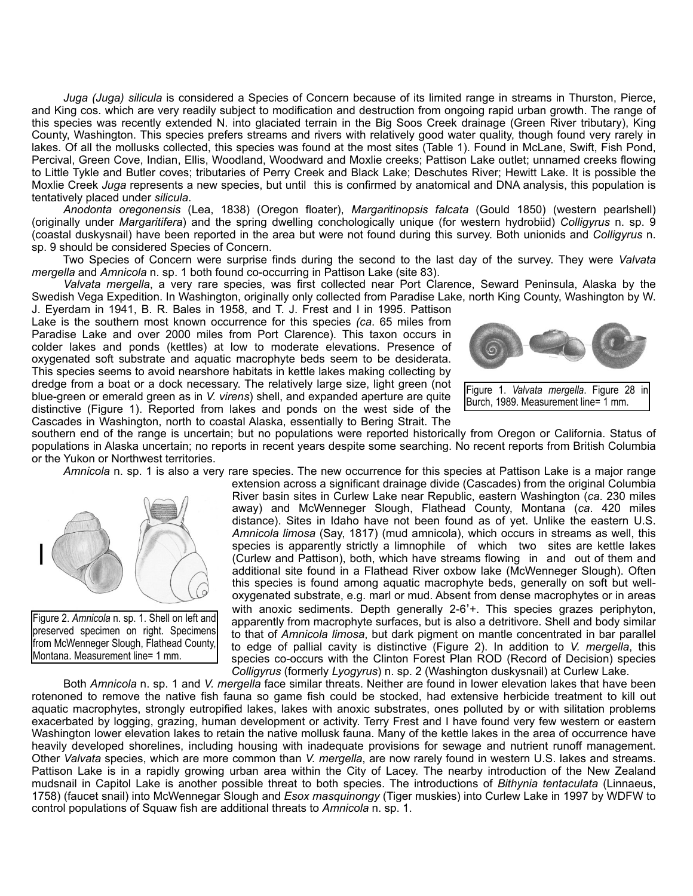*Juga (Juga) silicula* is considered a Species of Concern because of its limited range in streams in Thurston, Pierce, and King cos. which are very readily subject to modification and destruction from ongoing rapid urban growth. The range of this species was recently extended N. into glaciated terrain in the Big Soos Creek drainage (Green River tributary), King County, Washington. This species prefers streams and rivers with relatively good water quality, though found very rarely in lakes. Of all the mollusks collected, this species was found at the most sites (Table 1). Found in McLane, Swift, Fish Pond, Percival, Green Cove, Indian, Ellis, Woodland, Woodward and Moxlie creeks; Pattison Lake outlet; unnamed creeks flowing to Little Tykle and Butler coves; tributaries of Perry Creek and Black Lake; Deschutes River; Hewitt Lake. It is possible the Moxlie Creek *Juga* represents a new species, but until this is confirmed by anatomical and DNA analysis, this population is tentatively placed under *silicula*.

*Anodonta oregonensis* (Lea, 1838) (Oregon floater), *Margaritinopsis falcata* (Gould 1850) (western pearlshell) (originally under *Margaritifera*) and the spring dwelling conchologically unique (for western hydrobiid) *Colligyrus* n. sp. 9 (coastal duskysnail) have been reported in the area but were not found during this survey. Both unionids and *Colligyrus* n. sp. 9 should be considered Species of Concern.

 Two Species of Concern were surprise finds during the second to the last day of the survey. They were *Valvata mergella* and *Amnicola* n. sp. 1 both found co-occurring in Pattison Lake (site 83).

*Valvata mergella*, a very rare species, was first collected near Port Clarence, Seward Peninsula, Alaska by the Swedish Vega Expedition. In Washington, originally only collected from Paradise Lake, north King County, Washington by W.

J. Eyerdam in 1941, B. R. Bales in 1958, and T. J. Frest and I in 1995. Pattison Lake is the southern most known occurrence for this species *(ca*. 65 miles from Paradise Lake and over 2000 miles from Port Clarence). This taxon occurs in colder lakes and ponds (kettles) at low to moderate elevations. Presence of oxygenated soft substrate and aquatic macrophyte beds seem to be desiderata. This species seems to avoid nearshore habitats in kettle lakes making collecting by dredge from a boat or a dock necessary. The relatively large size, light green (not blue-green or emerald green as in *V. virens*) shell, and expanded aperture are quite distinctive (Figure 1). Reported from lakes and ponds on the west side of the Cascades in Washington, north to coastal Alaska, essentially to Bering Strait. The



Figure 1. *Valvata mergella*. Figure 28 in Burch, 1989. Measurement line= 1 mm.

southern end of the range is uncertain; but no populations were reported historically from Oregon or California. Status of populations in Alaska uncertain; no reports in recent years despite some searching. No recent reports from British Columbia or the Yukon or Northwest territories.

*Amnicola* n. sp. 1 is also a very rare species. The new occurrence for this species at Pattison Lake is a major range



Figure 2. *Amnicola* n. sp. 1. Shell on left and preserved specimen on right. Specimens from McWenneger Slough, Flathead County, Montana. Measurement line= 1 mm.

extension across a significant drainage divide (Cascades) from the original Columbia River basin sites in Curlew Lake near Republic, eastern Washington (*ca*. 230 miles away) and McWenneger Slough, Flathead County, Montana (*ca*. 420 miles distance). Sites in Idaho have not been found as of yet. Unlike the eastern U.S. *Amnicola limosa* (Say, 1817) (mud amnicola), which occurs in streams as well, this species is apparently strictly a limnophile of which two sites are kettle lakes (Curlew and Pattison), both, which have streams flowing in and out of them and additional site found in a Flathead River oxbow lake (McWenneger Slough). Often this species is found among aquatic macrophyte beds, generally on soft but welloxygenated substrate, e.g. marl or mud. Absent from dense macrophytes or in areas with anoxic sediments. Depth generally 2-6'+. This species grazes periphyton, apparently from macrophyte surfaces, but is also a detritivore. Shell and body similar to that of *Amnicola limosa*, but dark pigment on mantle concentrated in bar parallel to edge of pallial cavity is distinctive (Figure 2). In addition to *V. mergella*, this species co-occurs with the Clinton Forest Plan ROD (Record of Decision) species *Colligyrus* (formerly *Lyogyrus*) n. sp. 2 (Washington duskysnail) at Curlew Lake.

 Both *Amnicola* n. sp. 1 and *V. mergella* face similar threats. Neither are found in lower elevation lakes that have been rotenoned to remove the native fish fauna so game fish could be stocked, had extensive herbicide treatment to kill out aquatic macrophytes, strongly eutropified lakes, lakes with anoxic substrates, ones polluted by or with silitation problems exacerbated by logging, grazing, human development or activity. Terry Frest and I have found very few western or eastern Washington lower elevation lakes to retain the native mollusk fauna. Many of the kettle lakes in the area of occurrence have heavily developed shorelines, including housing with inadequate provisions for sewage and nutrient runoff management. Other *Valvata* species, which are more common than *V. mergella*, are now rarely found in western U.S. lakes and streams. Pattison Lake is in a rapidly growing urban area within the City of Lacey. The nearby introduction of the New Zealand mudsnail in Capitol Lake is another possible threat to both species. The introductions of *Bithynia tentaculata* (Linnaeus, 1758) (faucet snail) into McWennegar Slough and *Esox masquinongy* (Tiger muskies) into Curlew Lake in 1997 by WDFW to control populations of Squaw fish are additional threats to *Amnicola* n. sp. 1.